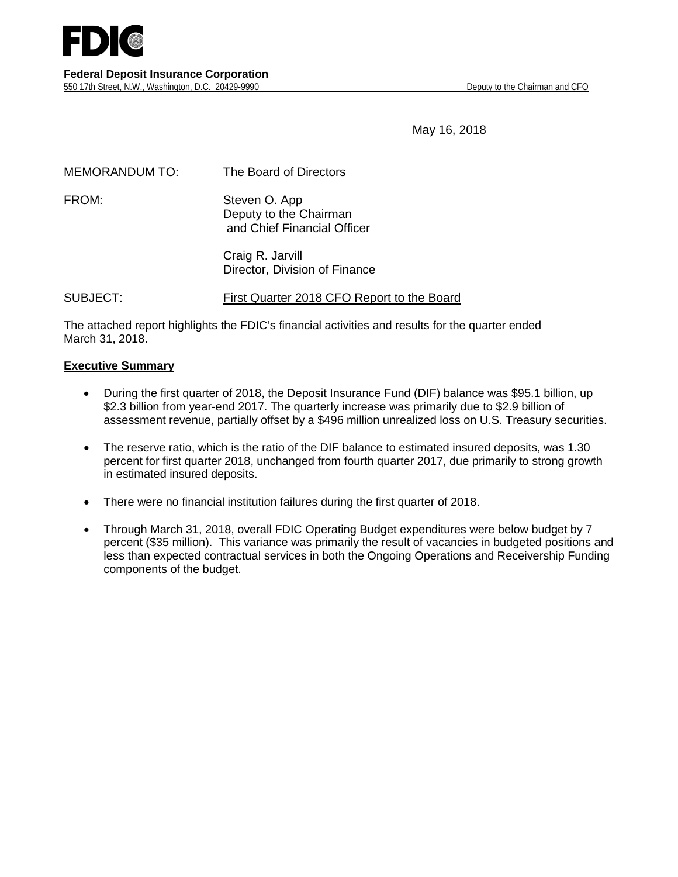

May 16, 2018

| <b>MEMORANDUM TO:</b> | The Board of Directors                                                 |
|-----------------------|------------------------------------------------------------------------|
| FROM:                 | Steven O. App<br>Deputy to the Chairman<br>and Chief Financial Officer |
|                       | Craig R. Jarvill<br>Director, Division of Finance                      |

SUBJECT: First Quarter 2018 CFO Report to the Board

The attached report highlights the FDIC's financial activities and results for the quarter ended March 31, 2018.

#### **Executive Summary**

- During the first quarter of 2018, the Deposit Insurance Fund (DIF) balance was \$95.1 billion, up \$2.3 billion from year-end 2017. The quarterly increase was primarily due to \$2.9 billion of assessment revenue, partially offset by a \$496 million unrealized loss on U.S. Treasury securities.
- The reserve ratio, which is the ratio of the DIF balance to estimated insured deposits, was 1.30 percent for first quarter 2018, unchanged from fourth quarter 2017, due primarily to strong growth in estimated insured deposits.
- There were no financial institution failures during the first quarter of 2018.
- Through March 31, 2018, overall FDIC Operating Budget expenditures were below budget by 7 percent (\$35 million). This variance was primarily the result of vacancies in budgeted positions and less than expected contractual services in both the Ongoing Operations and Receivership Funding components of the budget.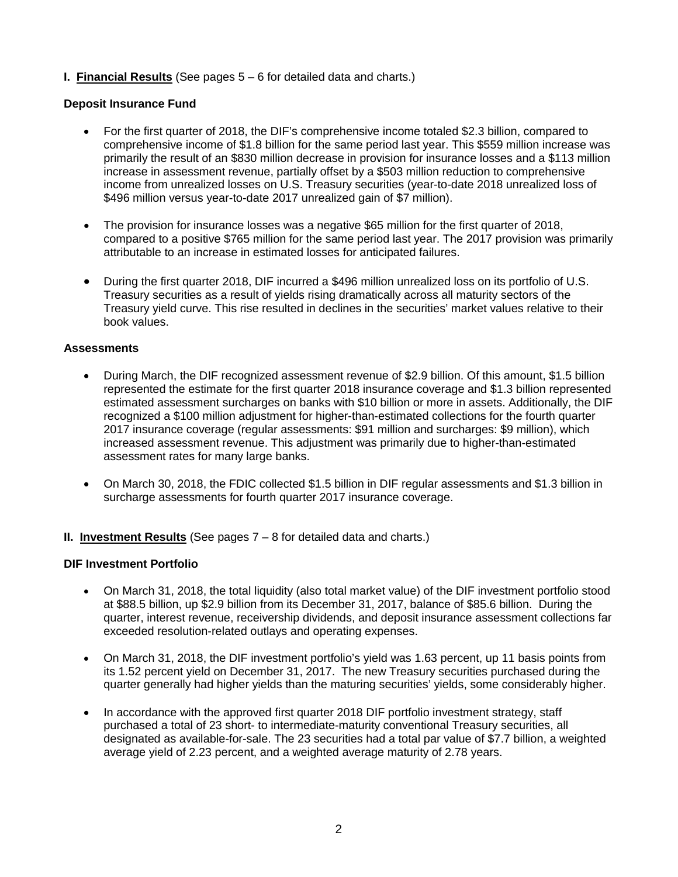## **I. Financial Results** (See pages 5 – 6 for detailed data and charts.)

## **Deposit Insurance Fund**

- For the first quarter of 2018, the DIF's comprehensive income totaled \$2.3 billion, compared to comprehensive income of \$1.8 billion for the same period last year. This \$559 million increase was primarily the result of an \$830 million decrease in provision for insurance losses and a \$113 million increase in assessment revenue, partially offset by a \$503 million reduction to comprehensive income from unrealized losses on U.S. Treasury securities (year-to-date 2018 unrealized loss of \$496 million versus year-to-date 2017 unrealized gain of \$7 million).
- The provision for insurance losses was a negative \$65 million for the first quarter of 2018, compared to a positive \$765 million for the same period last year. The 2017 provision was primarily attributable to an increase in estimated losses for anticipated failures.
- During the first quarter 2018, DIF incurred a \$496 million unrealized loss on its portfolio of U.S. Treasury securities as a result of yields rising dramatically across all maturity sectors of the Treasury yield curve. This rise resulted in declines in the securities' market values relative to their book values.

#### **Assessments**

- During March, the DIF recognized assessment revenue of \$2.9 billion. Of this amount, \$1.5 billion represented the estimate for the first quarter 2018 insurance coverage and \$1.3 billion represented estimated assessment surcharges on banks with \$10 billion or more in assets. Additionally, the DIF recognized a \$100 million adjustment for higher-than-estimated collections for the fourth quarter 2017 insurance coverage (regular assessments: \$91 million and surcharges: \$9 million), which increased assessment revenue. This adjustment was primarily due to higher-than-estimated assessment rates for many large banks.
- On March 30, 2018, the FDIC collected \$1.5 billion in DIF regular assessments and \$1.3 billion in surcharge assessments for fourth quarter 2017 insurance coverage.

#### **II. Investment Results** (See pages 7 – 8 for detailed data and charts.)

#### **DIF Investment Portfolio**

- On March 31, 2018, the total liquidity (also total market value) of the DIF investment portfolio stood at \$88.5 billion, up \$2.9 billion from its December 31, 2017, balance of \$85.6 billion. During the quarter, interest revenue, receivership dividends, and deposit insurance assessment collections far exceeded resolution-related outlays and operating expenses.
- On March 31, 2018, the DIF investment portfolio's yield was 1.63 percent, up 11 basis points from its 1.52 percent yield on December 31, 2017. The new Treasury securities purchased during the quarter generally had higher yields than the maturing securities' yields, some considerably higher.
- In accordance with the approved first quarter 2018 DIF portfolio investment strategy, staff purchased a total of 23 short- to intermediate-maturity conventional Treasury securities, all designated as available-for-sale. The 23 securities had a total par value of \$7.7 billion, a weighted average yield of 2.23 percent, and a weighted average maturity of 2.78 years.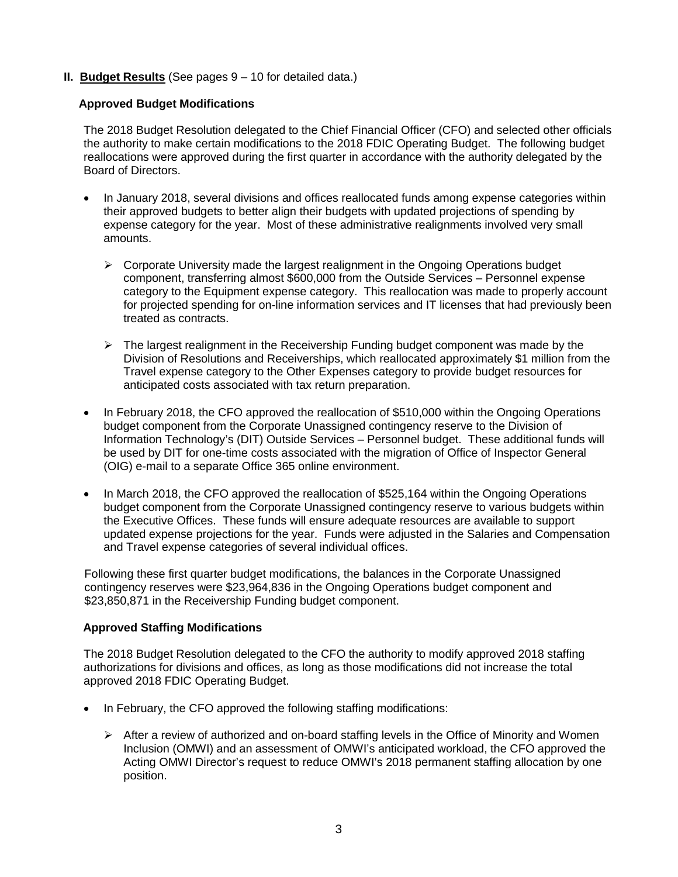## **II. Budget Results** (See pages 9 – 10 for detailed data.)

## **Approved Budget Modifications**

The 2018 Budget Resolution delegated to the Chief Financial Officer (CFO) and selected other officials the authority to make certain modifications to the 2018 FDIC Operating Budget. The following budget reallocations were approved during the first quarter in accordance with the authority delegated by the Board of Directors.

- In January 2018, several divisions and offices reallocated funds among expense categories within their approved budgets to better align their budgets with updated projections of spending by expense category for the year. Most of these administrative realignments involved very small amounts.
	- $\triangleright$  Corporate University made the largest realignment in the Ongoing Operations budget component, transferring almost \$600,000 from the Outside Services – Personnel expense category to the Equipment expense category. This reallocation was made to properly account for projected spending for on-line information services and IT licenses that had previously been treated as contracts.
	- $\triangleright$  The largest realignment in the Receivership Funding budget component was made by the Division of Resolutions and Receiverships, which reallocated approximately \$1 million from the Travel expense category to the Other Expenses category to provide budget resources for anticipated costs associated with tax return preparation.
- In February 2018, the CFO approved the reallocation of \$510,000 within the Ongoing Operations budget component from the Corporate Unassigned contingency reserve to the Division of Information Technology's (DIT) Outside Services – Personnel budget. These additional funds will be used by DIT for one-time costs associated with the migration of Office of Inspector General (OIG) e-mail to a separate Office 365 online environment.
- In March 2018, the CFO approved the reallocation of \$525,164 within the Ongoing Operations budget component from the Corporate Unassigned contingency reserve to various budgets within the Executive Offices. These funds will ensure adequate resources are available to support updated expense projections for the year. Funds were adjusted in the Salaries and Compensation and Travel expense categories of several individual offices.

Following these first quarter budget modifications, the balances in the Corporate Unassigned contingency reserves were \$23,964,836 in the Ongoing Operations budget component and \$23,850,871 in the Receivership Funding budget component.

#### **Approved Staffing Modifications**

The 2018 Budget Resolution delegated to the CFO the authority to modify approved 2018 staffing authorizations for divisions and offices, as long as those modifications did not increase the total approved 2018 FDIC Operating Budget.

- In February, the CFO approved the following staffing modifications:
	- $\triangleright$  After a review of authorized and on-board staffing levels in the Office of Minority and Women Inclusion (OMWI) and an assessment of OMWI's anticipated workload, the CFO approved the Acting OMWI Director's request to reduce OMWI's 2018 permanent staffing allocation by one position.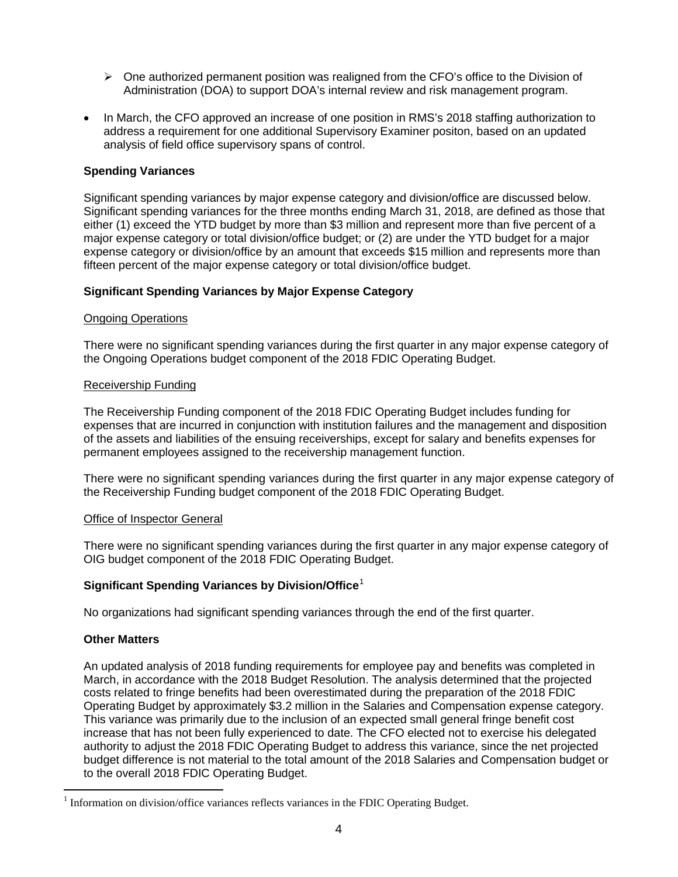- $\triangleright$  One authorized permanent position was realigned from the CFO's office to the Division of Administration (DOA) to support DOA's internal review and risk management program.
- In March, the CFO approved an increase of one position in RMS's 2018 staffing authorization to address a requirement for one additional Supervisory Examiner positon, based on an updated analysis of field office supervisory spans of control.

## **Spending Variances**

Significant spending variances by major expense category and division/office are discussed below. Significant spending variances for the three months ending March 31, 2018, are defined as those that either (1) exceed the YTD budget by more than \$3 million and represent more than five percent of a major expense category or total division/office budget; or (2) are under the YTD budget for a major expense category or division/office by an amount that exceeds \$15 million and represents more than fifteen percent of the major expense category or total division/office budget.

## **Significant Spending Variances by Major Expense Category**

#### Ongoing Operations

There were no significant spending variances during the first quarter in any major expense category of the Ongoing Operations budget component of the 2018 FDIC Operating Budget.

#### Receivership Funding

The Receivership Funding component of the 2018 FDIC Operating Budget includes funding for expenses that are incurred in conjunction with institution failures and the management and disposition of the assets and liabilities of the ensuing receiverships, except for salary and benefits expenses for permanent employees assigned to the receivership management function.

There were no significant spending variances during the first quarter in any major expense category of the Receivership Funding budget component of the 2018 FDIC Operating Budget.

#### Office of Inspector General

There were no significant spending variances during the first quarter in any major expense category of OIG budget component of the 2018 FDIC Operating Budget.

#### **Significant Spending Variances by Division/Office**[1](#page-3-0)

No organizations had significant spending variances through the end of the first quarter.

#### **Other Matters**

An updated analysis of 2018 funding requirements for employee pay and benefits was completed in March, in accordance with the 2018 Budget Resolution. The analysis determined that the projected costs related to fringe benefits had been overestimated during the preparation of the 2018 FDIC Operating Budget by approximately \$3.2 million in the Salaries and Compensation expense category. This variance was primarily due to the inclusion of an expected small general fringe benefit cost increase that has not been fully experienced to date. The CFO elected not to exercise his delegated authority to adjust the 2018 FDIC Operating Budget to address this variance, since the net projected budget difference is not material to the total amount of the 2018 Salaries and Compensation budget or to the overall 2018 FDIC Operating Budget.

<span id="page-3-0"></span> <sup>1</sup> Information on division/office variances reflects variances in the FDIC Operating Budget.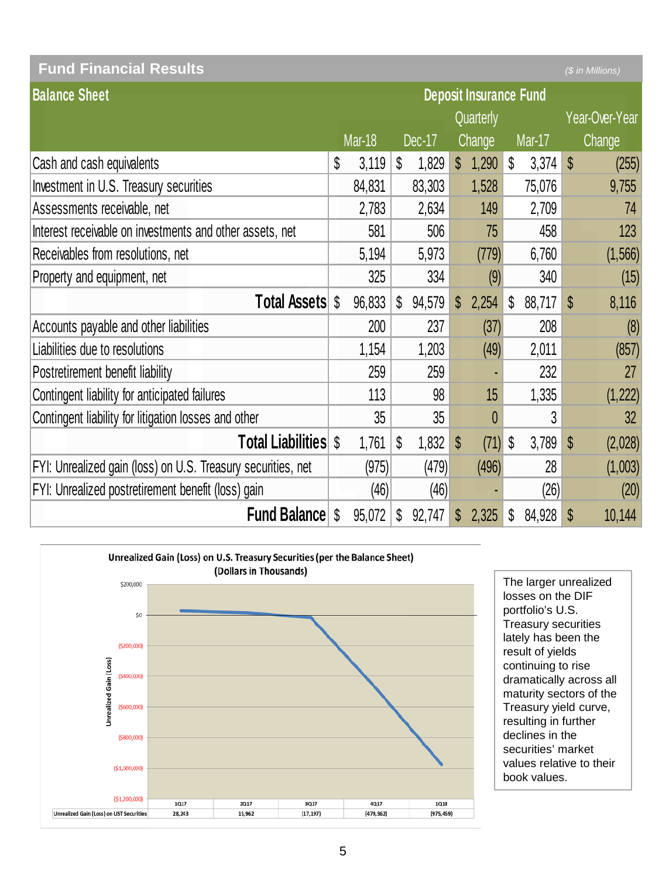| <b>Fund Financial Results</b>                                |                               |        |              |        |              |               |                           |        |                           | (\$ in Millions) |
|--------------------------------------------------------------|-------------------------------|--------|--------------|--------|--------------|---------------|---------------------------|--------|---------------------------|------------------|
| <b>Balance Sheet</b>                                         | <b>Deposit Insurance Fund</b> |        |              |        |              |               |                           |        |                           |                  |
|                                                              |                               |        |              |        |              | Quarterly     |                           |        |                           | Year-Over-Year   |
|                                                              |                               | Mar-18 |              | Dec-17 |              | <b>Change</b> |                           | Mar-17 |                           | Change           |
| Cash and cash equivalents                                    | \$                            | 3,119  | S            | 1,829  | \$           | 1,290         | $\boldsymbol{\mathsf{S}}$ | 3,374  | $\boldsymbol{\mathsf{S}}$ | (255)            |
| Investment in U.S. Treasury securities                       |                               | 84,831 |              | 83,303 |              | 1,528         |                           | 75,076 |                           | 9,755            |
| Assessments receivable, net                                  |                               | 2,783  |              | 2,634  |              | 149           |                           | 2,709  |                           | 74               |
| Interest receivable on investments and other assets, net     |                               | 581    |              | 506    |              | 75            |                           | 458    |                           | 123              |
| Receivables from resolutions, net                            |                               | 5,194  |              | 5,973  |              | (779)         |                           | 6,760  |                           | (1, 566)         |
| Property and equipment, net                                  |                               | 325    |              | 334    |              | (9)           |                           | 340    |                           | (15)             |
| <b>Total Assets \$</b>                                       |                               | 96,833 | $\mathbb{S}$ | 94,579 | $\mathbb{S}$ | 2,254         | \$                        | 88,717 | S                         | 8,116            |
| Accounts payable and other liabilities                       |                               | 200    |              | 237    |              | (37)          |                           | 208    |                           | (8)              |
| Liabilities due to resolutions                               |                               | 1,154  |              | 1,203  |              | (49)          |                           | 2,011  |                           | (857)            |
| Postretirement benefit liability                             |                               | 259    |              | 259    |              |               |                           | 232    |                           | 27               |
| Contingent liability for anticipated failures                |                               | 113    |              | 98     |              | 15            |                           | 1,335  |                           | (1, 222)         |
| Contingent liability for litigation losses and other         |                               | 35     |              | 35     |              | $\theta$      |                           | 3      |                           | 32               |
| <b>Total Liabilities \$</b>                                  |                               | 1,761  | \$           | 1,832  | $\mathbb{S}$ | (71)          | \$                        | 3,789  | \$                        | (2,028)          |
| FYI: Unrealized gain (loss) on U.S. Treasury securities, net |                               | (975)  |              | (479)  |              | (496)         |                           | 28     |                           | (1,003)          |
| FYI: Unrealized postretirement benefit (loss) gain           |                               | (46)   |              | (46)   |              |               |                           | (26)   |                           | (20)             |
| <b>Fund Balance</b>                                          | S                             | 95,072 | S            | 92,747 | S            | 2,325         | S                         | 84,928 | \$                        | 10,144           |



The larger unrealized losses on the DIF portfolio's U.S. Treasury securities lately has been the result of yields continuing to rise dramatically across all maturity sectors of the Treasury yield curve, resulting in further declines in the securities' market values relative to their book values.

l.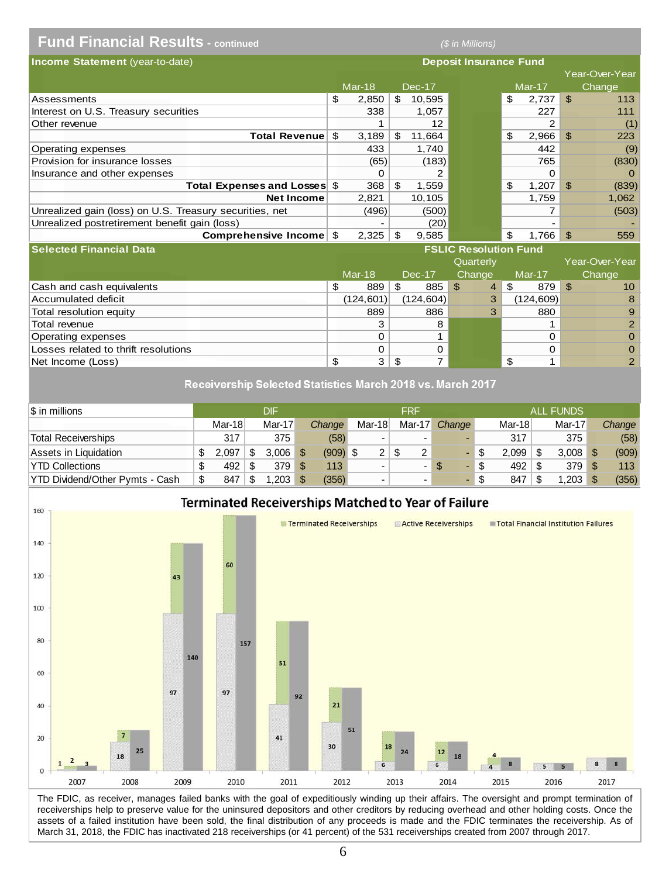# **Fund Financial Results - continued** *(\$ in Millions)*

| <b>Income Statement</b> (year-to-date)                  |   |        |     |        | <b>Deposit Insurance Fund</b> |                          |                |                |
|---------------------------------------------------------|---|--------|-----|--------|-------------------------------|--------------------------|----------------|----------------|
|                                                         |   |        |     |        |                               |                          |                | Year-Over-Year |
|                                                         |   | Mar-18 |     | Dec-17 |                               | $Mar-17$                 |                | Change         |
| Assessments                                             | S | 2.850  | \$. | 10.595 |                               | \$<br>2.737              | $\mathfrak{L}$ | 113            |
| Interest on U.S. Treasury securities                    |   | 338    |     | 1,057  |                               | 227                      |                | 111            |
| Other revenue                                           |   |        |     | 12     |                               | $\overline{2}$           |                | (1)            |
| Total Revenue \$                                        |   | 3.189  | S   | 11,664 |                               | \$<br>2,966              | $\mathcal{L}$  | 223            |
| Operating expenses                                      |   | 433    |     | 1,740  |                               | 442                      |                | (9)            |
| Provision for insurance losses                          |   | (65)   |     | (183)  |                               | 765                      |                | (830)          |
| Insurance and other expenses                            |   |        |     |        |                               | 0                        |                | $\Omega$       |
| Total Expenses and Losses \$                            |   | 368    | \$  | 1,559  |                               | \$<br>1.207              | \$.            | (839)          |
| <b>Net Income</b>                                       |   | 2,821  |     | 10.105 |                               | 1,759                    |                | 1,062          |
| Unrealized gain (loss) on U.S. Treasury securities, net |   | (496)  |     | (500)  |                               | 7                        |                | (503)          |
| Unrealized postretirement benefit gain (loss)           |   |        |     | (20)   |                               | $\overline{\phantom{0}}$ |                |                |
| Comprehensive Income \$                                 |   | 2,325  | \$. | 9,585  |                               | \$<br>1.766              |                | 559            |

| <b>Selected Financial Data</b>       | <b>FSLIC Resolution Fund</b> |           |     |            |     |                |     |            |      |                 |  |
|--------------------------------------|------------------------------|-----------|-----|------------|-----|----------------|-----|------------|------|-----------------|--|
|                                      |                              |           |     |            |     | Quarterly      |     |            |      | Year-Over-Year  |  |
|                                      |                              | Mar-18    |     | Dec-17     |     | Change         |     | Mar-17     |      | Change          |  |
| Cash and cash equivalents            |                              | 889       | \$. | 885        | ∣\$ | $\overline{4}$ | -\$ | 879        | - \$ | 10 <sup>°</sup> |  |
| Accumulated deficit                  |                              | (124,601) |     | (124, 604) |     | 3              |     | (124, 609) |      | 8               |  |
| Total resolution equity              |                              | 889       |     | 886        |     |                |     | 880        |      | 9               |  |
| Total revenue                        |                              | 3         |     | 8          |     |                |     |            |      | $\overline{2}$  |  |
| Operating expenses                   |                              |           |     |            |     |                |     | 0          |      | $\Omega$        |  |
| Losses related to thrift resolutions |                              |           |     |            |     |                |     | 0          |      | $\Omega$        |  |
| Net Income (Loss)                    |                              | 3         | \$. |            |     |                |     |            |      |                 |  |

#### Receivership Selected Statistics March 2018 vs. March 2017

| $\$\$ in millions               |        |   | DIF    |     |            |                      | FRF                      |           |          | <b>ALL FUNDS</b> |        |
|---------------------------------|--------|---|--------|-----|------------|----------------------|--------------------------|-----------|----------|------------------|--------|
|                                 | Mar-18 |   | Mar-17 |     | Change     | Mar-18               | Mar-17                   | Change    | $Mar-18$ | Mar-17           | Change |
| <b>Total Receiverships</b>      | 317    |   | 375    |     | (58)       | -                    | $\overline{\phantom{a}}$ |           | 317      | 375              | (58)   |
| Assets in Liquidation           | 2.097  | S | 3.006  | ∣\$ | $(909)$ \$ | $\mathbf{2}^{\circ}$ | 2                        |           | 2.099    | 3,008            | (909)  |
| <b>YTD Collections</b>          | 492    |   | 379    |     | 113        |                      | ٠                        | <b>\$</b> | 492      | 379              | 113    |
| YTD Dividend/Other Pymts - Cash | 847    | S | .203   |     | (356)      |                      |                          |           | 847      | .203             | (356)  |



The FDIC, as receiver, manages failed banks with the goal of expeditiously winding up their affairs. The oversight and prompt termination of receiverships help to preserve value for the uninsured depositors and other creditors by reducing overhead and other holding costs. Once the assets of a failed institution have been sold, the final distribution of any proceeds is made and the FDIC terminates the receivership. As of March 31, 2018, the FDIC has inactivated 218 receiverships (or 41 percent) of the 531 receiverships created from 2007 through 2017.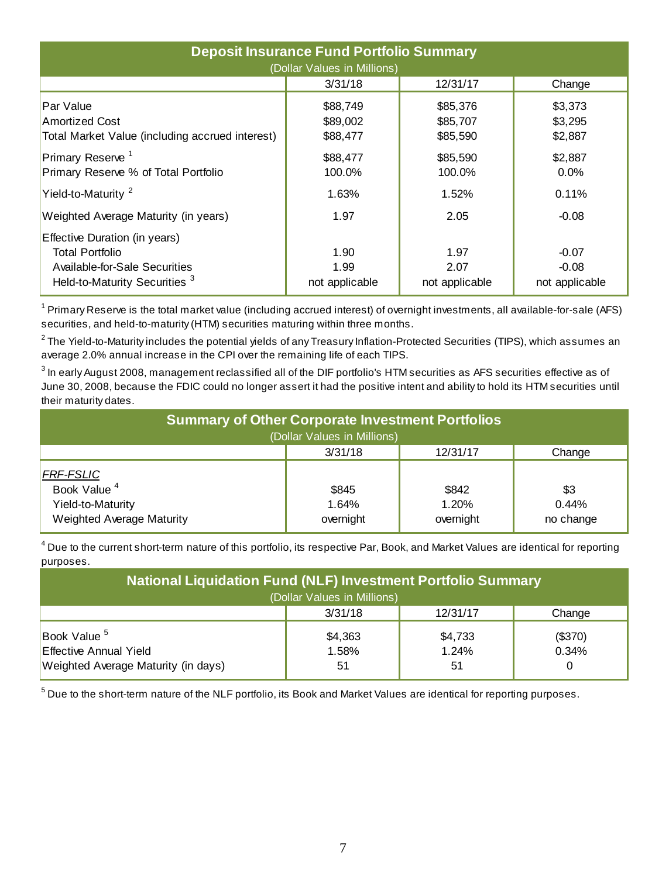| <b>Deposit Insurance Fund Portfolio Summary</b><br>(Dollar Values in Millions)                                                       |                                  |                                  |                                      |  |  |  |  |  |  |  |
|--------------------------------------------------------------------------------------------------------------------------------------|----------------------------------|----------------------------------|--------------------------------------|--|--|--|--|--|--|--|
|                                                                                                                                      | 3/31/18                          | 12/31/17                         | Change                               |  |  |  |  |  |  |  |
| Par Value<br><b>Amortized Cost</b><br>Total Market Value (including accrued interest)                                                | \$88,749<br>\$89,002<br>\$88,477 | \$85,376<br>\$85,707<br>\$85,590 | \$3,373<br>\$3,295<br>\$2,887        |  |  |  |  |  |  |  |
| Primary Reserve <sup>1</sup><br>Primary Reserve % of Total Portfolio                                                                 | \$88,477<br>100.0%               | \$85,590<br>100.0%               | \$2,887<br>0.0%                      |  |  |  |  |  |  |  |
| Yield-to-Maturity <sup>2</sup>                                                                                                       | 1.63%                            | 1.52%                            | 0.11%                                |  |  |  |  |  |  |  |
| Weighted Average Maturity (in years)                                                                                                 | 1.97                             | 2.05                             | $-0.08$                              |  |  |  |  |  |  |  |
| Effective Duration (in years)<br><b>Total Portfolio</b><br>Available-for-Sale Securities<br>Held-to-Maturity Securities <sup>3</sup> | 1.90<br>1.99<br>not applicable   | 1.97<br>2.07<br>not applicable   | $-0.07$<br>$-0.08$<br>not applicable |  |  |  |  |  |  |  |

<sup>1</sup> Primary Reserve is the total market value (including accrued interest) of overnight investments, all available-for-sale (AFS) securities, and held-to-maturity (HTM) securities maturing within three months.

 $^{\circ}$ The Yield-to-Maturity includes the potential yields of any Treasury Inflation-Protected Securities (TIPS), which assumes an average 2.0% annual increase in the CPI over the remaining life of each TIPS.

 $^3$  In early August 2008, management reclassified all of the DIF portfolio's HTM securities as AFS securities effective as of June 30, 2008, because the FDIC could no longer assert it had the positive intent and ability to hold its HTM securities until their maturity dates.

| <b>Summary of Other Corporate Investment Portfolios</b> |           |           |           |  |  |  |  |  |  |  |
|---------------------------------------------------------|-----------|-----------|-----------|--|--|--|--|--|--|--|
| (Dollar Values in Millions)                             |           |           |           |  |  |  |  |  |  |  |
|                                                         | 3/31/18   | 12/31/17  | Change    |  |  |  |  |  |  |  |
| <b>FRF-FSLIC</b>                                        |           |           |           |  |  |  |  |  |  |  |
| Book Value <sup>4</sup>                                 | \$845     | \$842     | \$3       |  |  |  |  |  |  |  |
| Yield-to-Maturity                                       | 1.64%     | 1.20%     | 0.44%     |  |  |  |  |  |  |  |
| Weighted Average Maturity                               | overnight | overnight | no change |  |  |  |  |  |  |  |

 $^4$  Due to the current short-term nature of this portfolio, its respective Par, Book, and Market Values are identical for reporting purposes.

| <b>National Liquidation Fund (NLF) Investment Portfolio Summary</b><br>(Dollar Values in Millions) |                        |                         |                       |  |  |  |  |  |  |
|----------------------------------------------------------------------------------------------------|------------------------|-------------------------|-----------------------|--|--|--|--|--|--|
|                                                                                                    | 3/31/18                | 12/31/17                | Change                |  |  |  |  |  |  |
| Book Value <sup>5</sup><br><b>Effective Annual Yield</b><br>Weighted Average Maturity (in days)    | \$4,363<br>1.58%<br>51 | \$4,733<br>1.24%<br>-51 | (\$370)<br>0.34%<br>0 |  |  |  |  |  |  |

 $^5$  Due to the short-term nature of the NLF portfolio, its Book and Market Values are identical for reporting purposes.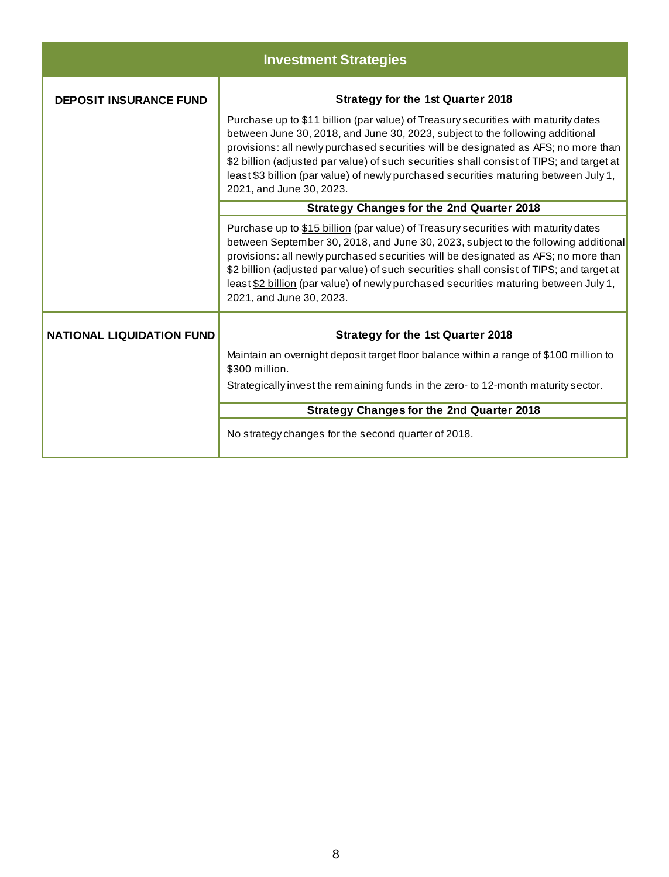|                                  | <b>Investment Strategies</b>                                                                                                                                                                                                                                                                                                                                                                                                                                                   |  |  |  |  |  |  |  |  |  |
|----------------------------------|--------------------------------------------------------------------------------------------------------------------------------------------------------------------------------------------------------------------------------------------------------------------------------------------------------------------------------------------------------------------------------------------------------------------------------------------------------------------------------|--|--|--|--|--|--|--|--|--|
| <b>DEPOSIT INSURANCE FUND</b>    | <b>Strategy for the 1st Quarter 2018</b>                                                                                                                                                                                                                                                                                                                                                                                                                                       |  |  |  |  |  |  |  |  |  |
|                                  | Purchase up to \$11 billion (par value) of Treasury securities with maturity dates<br>between June 30, 2018, and June 30, 2023, subject to the following additional<br>provisions: all newly purchased securities will be designated as AFS; no more than<br>\$2 billion (adjusted par value) of such securities shall consist of TIPS; and target at<br>least \$3 billion (par value) of newly purchased securities maturing between July 1,<br>2021, and June 30, 2023.      |  |  |  |  |  |  |  |  |  |
|                                  | <b>Strategy Changes for the 2nd Quarter 2018</b>                                                                                                                                                                                                                                                                                                                                                                                                                               |  |  |  |  |  |  |  |  |  |
|                                  | Purchase up to \$15 billion (par value) of Treasury securities with maturity dates<br>between September 30, 2018, and June 30, 2023, subject to the following additional<br>provisions: all newly purchased securities will be designated as AFS; no more than<br>\$2 billion (adjusted par value) of such securities shall consist of TIPS; and target at<br>least \$2 billion (par value) of newly purchased securities maturing between July 1,<br>2021, and June 30, 2023. |  |  |  |  |  |  |  |  |  |
| <b>NATIONAL LIQUIDATION FUND</b> | <b>Strategy for the 1st Quarter 2018</b>                                                                                                                                                                                                                                                                                                                                                                                                                                       |  |  |  |  |  |  |  |  |  |
|                                  | Maintain an overnight deposit target floor balance within a range of \$100 million to<br>\$300 million.                                                                                                                                                                                                                                                                                                                                                                        |  |  |  |  |  |  |  |  |  |
|                                  | Strategically invest the remaining funds in the zero- to 12-month maturity sector.                                                                                                                                                                                                                                                                                                                                                                                             |  |  |  |  |  |  |  |  |  |
|                                  | <b>Strategy Changes for the 2nd Quarter 2018</b>                                                                                                                                                                                                                                                                                                                                                                                                                               |  |  |  |  |  |  |  |  |  |
|                                  | No strategy changes for the second quarter of 2018.                                                                                                                                                                                                                                                                                                                                                                                                                            |  |  |  |  |  |  |  |  |  |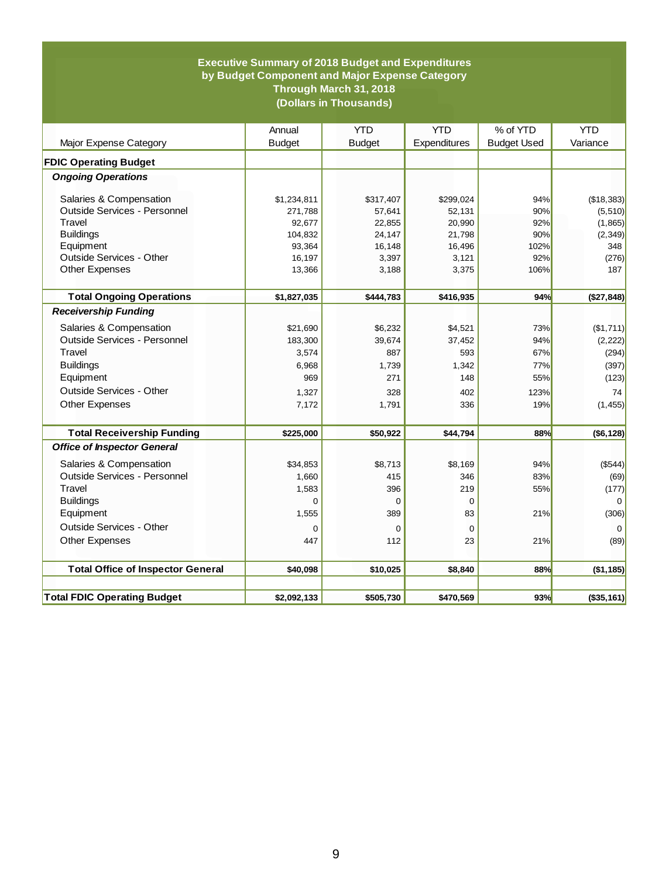#### **Executive Summary of 2018 Budget and Expenditures by Budget Component and Major Expense Category Through March 31, 2018 (Dollars in Thousands)**

|                                          | Annual        | <b>YTD</b>    | <b>YTD</b>   | % of YTD           | <b>YTD</b>     |
|------------------------------------------|---------------|---------------|--------------|--------------------|----------------|
| Major Expense Category                   | <b>Budget</b> | <b>Budget</b> | Expenditures | <b>Budget Used</b> | Variance       |
| <b>FDIC Operating Budget</b>             |               |               |              |                    |                |
| <b>Ongoing Operations</b>                |               |               |              |                    |                |
| Salaries & Compensation                  | \$1,234,811   | \$317,407     | \$299,024    | 94%                | (\$18,383)     |
| Outside Services - Personnel             | 271,788       | 57,641        | 52,131       | 90%                | (5, 510)       |
| Travel                                   | 92,677        | 22,855        | 20,990       | 92%                | (1,865)        |
| <b>Buildings</b>                         | 104,832       | 24,147        | 21,798       | 90%                | (2, 349)       |
| Equipment                                | 93,364        | 16,148        | 16,496       | 102%               | 348            |
| Outside Services - Other                 | 16,197        | 3,397         | 3,121        | 92%                | (276)          |
| Other Expenses                           | 13,366        | 3,188         | 3,375        | 106%               | 187            |
| <b>Total Ongoing Operations</b>          | \$1,827,035   | \$444,783     | \$416,935    | 94%                | (\$27,848)     |
| <b>Receivership Funding</b>              |               |               |              |                    |                |
| Salaries & Compensation                  | \$21,690      | \$6,232       | \$4,521      | 73%                | (\$1,711)      |
| Outside Services - Personnel             | 183,300       | 39.674        | 37.452       | 94%                | (2, 222)       |
| Travel                                   | 3,574         | 887           | 593          | 67%                | (294)          |
| <b>Buildings</b>                         | 6,968         | 1,739         | 1,342        | 77%                | (397)          |
| Equipment                                | 969           | 271           | 148          | 55%                | (123)          |
| Outside Services - Other                 | 1,327         | 328           | 402          | 123%               | 74             |
| <b>Other Expenses</b>                    | 7,172         | 1,791         | 336          | 19%                | (1, 455)       |
| <b>Total Receivership Funding</b>        | \$225,000     | \$50,922      | \$44,794     | 88%                | ( \$6, 128)    |
| <b>Office of Inspector General</b>       |               |               |              |                    |                |
| Salaries & Compensation                  | \$34,853      | \$8,713       | \$8,169      | 94%                | (\$544)        |
| Outside Services - Personnel             | 1,660         | 415           | 346          | 83%                | (69)           |
| Travel                                   | 1,583         | 396           | 219          | 55%                | (177)          |
| <b>Buildings</b>                         | $\Omega$      | $\mathbf 0$   | $\Omega$     |                    | $\overline{0}$ |
| Equipment                                | 1,555         | 389           | 83           | 21%                | (306)          |
| Outside Services - Other                 | 0             | 0             | $\mathbf 0$  |                    | 0              |
| <b>Other Expenses</b>                    | 447           | 112           | 23           | 21%                | (89)           |
|                                          |               |               |              |                    |                |
| <b>Total Office of Inspector General</b> | \$40,098      | \$10,025      | \$8,840      | 88%                | (\$1,185)      |
|                                          |               |               |              |                    |                |
| <b>Total FDIC Operating Budget</b>       | \$2,092,133   | \$505,730     | \$470,569    | 93%                | (\$35,161)     |